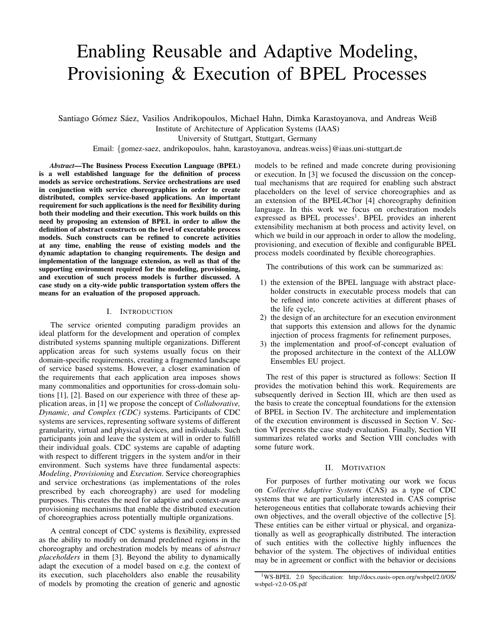# Enabling Reusable and Adaptive Modeling, Provisioning & Execution of BPEL Processes

Santiago Gómez Sáez, Vasilios Andrikopoulos, Michael Hahn, Dimka Karastoyanova, and Andreas Weiß

Institute of Architecture of Application Systems (IAAS)

University of Stuttgart, Stuttgart, Germany

Email: {gomez-saez, andrikopoulos, hahn, karastoyanova, andreas.weiss}@iaas.uni-stuttgart.de

*Abstract*—The Business Process Execution Language (BPEL) is a well established language for the definition of process models as service orchestrations. Service orchestrations are used in conjunction with service choreographies in order to create distributed, complex service-based applications. An important requirement for such applications is the need for flexibility during both their modeling and their execution. This work builds on this need by proposing an extension of BPEL in order to allow the definition of abstract constructs on the level of executable process models. Such constructs can be refined to concrete activities at any time, enabling the reuse of existing models and the dynamic adaptation to changing requirements. The design and implementation of the language extension, as well as that of the supporting environment required for the modeling, provisioning, and execution of such process models is further discussed. A case study on a city-wide public transportation system offers the means for an evaluation of the proposed approach.

#### I. INTRODUCTION

The service oriented computing paradigm provides an ideal platform for the development and operation of complex distributed systems spanning multiple organizations. Different application areas for such systems usually focus on their domain-specific requirements, creating a fragmented landscape of service based systems. However, a closer examination of the requirements that each application area imposes shows many commonalities and opportunities for cross-domain solutions [\[1\]](#page-7-0), [\[2\]](#page-7-1). Based on our experience with three of these application areas, in [\[1\]](#page-7-0) we propose the concept of *Collaborative, Dynamic, and Complex (CDC)* systems. Participants of CDC systems are services, representing software systems of different granularity, virtual and physical devices, and individuals. Such participants join and leave the system at will in order to fulfill their individual goals. CDC systems are capable of adapting with respect to different triggers in the system and/or in their environment. Such systems have three fundamental aspects: *Modeling*, *Provisioning* and *Execution*. Service choreographies and service orchestrations (as implementations of the roles prescribed by each choreography) are used for modeling purposes. This creates the need for adaptive and context-aware provisioning mechanisms that enable the distributed execution of choreographies across potentially multiple organizations.

A central concept of CDC systems is flexibility, expressed as the ability to modify on demand predefined regions in the choreography and orchestration models by means of *abstract placeholders* in them [\[3\]](#page-7-2). Beyond the ability to dynamically adapt the execution of a model based on e.g. the context of its execution, such placeholders also enable the reusability of models by promoting the creation of generic and agnostic models to be refined and made concrete during provisioning or execution. In [\[3\]](#page-7-2) we focused the discussion on the conceptual mechanisms that are required for enabling such abstract placeholders on the level of service choreographies and as an extension of the BPEL4Chor [\[4\]](#page-7-3) choreography definition language. In this work we focus on orchestration models expressed as BPEL processes<sup>[1](#page-0-0)</sup>. BPEL provides an inherent extensibility mechanism at both process and activity level, on which we build in our approach in order to allow the modeling, provisioning, and execution of flexible and configurable BPEL process models coordinated by flexible choreographies.

The contributions of this work can be summarized as:

- 1) the extension of the BPEL language with abstract placeholder constructs in executable process models that can be refined into concrete activities at different phases of the life cycle,
- 2) the design of an architecture for an execution environment that supports this extension and allows for the dynamic injection of process fragments for refinement purposes,
- 3) the implementation and proof-of-concept evaluation of the proposed architecture in the context of the ALLOW Ensembles EU project.

The rest of this paper is structured as follows: Section [II](#page-0-1) provides the motivation behind this work. Requirements are subsequently derived in Section [III,](#page-1-0) which are then used as the basis to create the conceptual foundations for the extension of BPEL in Section [IV.](#page-1-1) The architecture and implementation of the execution environment is discussed in Section [V.](#page-2-0) Section [VI](#page-5-0) presents the case study evaluation. Finally, Section [VII](#page-5-1) summarizes related works and Section [VIII](#page-6-0) concludes with some future work.

#### II. MOTIVATION

<span id="page-0-1"></span>For purposes of further motivating our work we focus on *Collective Adaptive Systems* (CAS) as a type of CDC systems that we are particularly interested in. CAS comprise heterogeneous entities that collaborate towards achieving their own objectives, and the overall objective of the collective [\[5\]](#page-7-4). These entities can be either virtual or physical, and organizationally as well as geographically distributed. The interaction of such entities with the collective highly influences the behavior of the system. The objectives of individual entities may be in agreement or conflict with the behavior or decisions

<span id="page-0-0"></span><sup>1</sup>WS-BPEL 2.0 Specification: [http://docs.oasis-open.org/wsbpel/2.0/OS/](http://docs.oasis-open.org/wsbpel/2.0/OS/wsbpel-v2.0-OS.pdf) [wsbpel-v2.0-OS.pdf](http://docs.oasis-open.org/wsbpel/2.0/OS/wsbpel-v2.0-OS.pdf)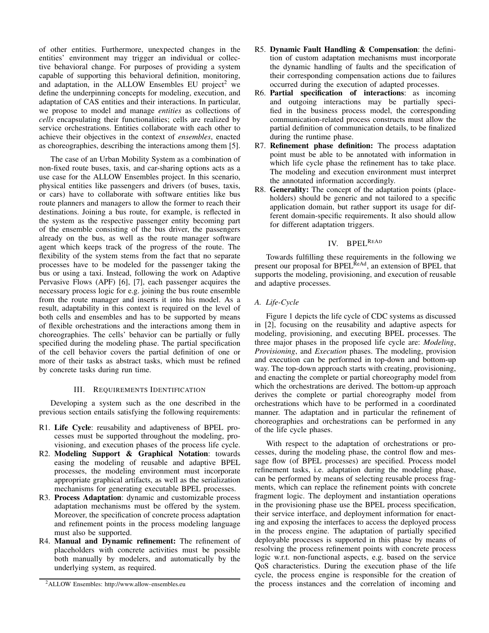of other entities. Furthermore, unexpected changes in the entities' environment may trigger an individual or collective behavioral change. For purposes of providing a system capable of supporting this behavioral definition, monitoring, and adaptation, in the ALLOW Ensembles EU project<sup>[2](#page-1-2)</sup> we define the underpinning concepts for modeling, execution, and adaptation of CAS entities and their interactions. In particular, we propose to model and manage *entities* as collections of *cells* encapsulating their functionalities; cells are realized by service orchestrations. Entities collaborate with each other to achieve their objectives in the context of *ensembles*, enacted as choreographies, describing the interactions among them [\[5\]](#page-7-4).

The case of an Urban Mobility System as a combination of non-fixed route buses, taxis, and car-sharing options acts as a use case for the ALLOW Ensembles project. In this scenario, physical entities like passengers and drivers (of buses, taxis, or cars) have to collaborate with software entities like bus route planners and managers to allow the former to reach their destinations. Joining a bus route, for example, is reflected in the system as the respective passenger entity becoming part of the ensemble consisting of the bus driver, the passengers already on the bus, as well as the route manager software agent which keeps track of the progress of the route. The flexibility of the system stems from the fact that no separate processes have to be modeled for the passenger taking the bus or using a taxi. Instead, following the work on Adaptive Pervasive Flows (APF) [\[6\]](#page-7-5), [\[7\]](#page-7-6), each passenger acquires the necessary process logic for e.g. joining the bus route ensemble from the route manager and inserts it into his model. As a result, adaptability in this context is required on the level of both cells and ensembles and has to be supported by means of flexible orchestrations and the interactions among them in choreographies. The cells' behavior can be partially or fully specified during the modeling phase. The partial specification of the cell behavior covers the partial definition of one or more of their tasks as abstract tasks, which must be refined by concrete tasks during run time.

#### III. REQUIREMENTS IDENTIFICATION

<span id="page-1-0"></span>Developing a system such as the one described in the previous section entails satisfying the following requirements:

- R1. Life Cycle: reusability and adaptiveness of BPEL processes must be supported throughout the modeling, provisioning, and execution phases of the process life cycle.
- R2. Modeling Support & Graphical Notation: towards easing the modeling of reusable and adaptive BPEL processes, the modeling environment must incorporate appropriate graphical artifacts, as well as the serialization mechanisms for generating executable BPEL processes.
- R3. Process Adaptation: dynamic and customizable process adaptation mechanisms must be offered by the system. Moreover, the specification of concrete process adaptation and refinement points in the process modeling language must also be supported.
- R4. Manual and Dynamic refinement: The refinement of placeholders with concrete activities must be possible both manually by modelers, and automatically by the underlying system, as required.
- R5. Dynamic Fault Handling & Compensation: the definition of custom adaptation mechanisms must incorporate the dynamic handling of faults and the specification of their corresponding compensation actions due to failures occurred during the execution of adapted processes.
- R6. Partial specification of interactions: as incoming and outgoing interactions may be partially specified in the business process model, the corresponding communication-related process constructs must allow the partial definition of communication details, to be finalized during the runtime phase.
- R7. Refinement phase definition: The process adaptation point must be able to be annotated with information in which life cycle phase the refinement has to take place. The modeling and execution environment must interpret the annotated information accordingly.
- R8. Generality: The concept of the adaptation points (placeholders) should be generic and not tailored to a specific application domain, but rather support its usage for different domain-specific requirements. It also should allow for different adaptation triggers.

## IV. BPEL<sup>R</sup>EA<sup>D</sup>

<span id="page-1-1"></span>Towards fulfilling these requirements in the following we present our proposal for BPEL<sup>ReAd</sup>, an extension of BPEL that supports the modeling, provisioning, and execution of reusable and adaptive processes.

### *A. Life-Cycle*

Figure [1](#page-2-1) depicts the life cycle of CDC systems as discussed in [\[2\]](#page-7-1), focusing on the reusability and adaptive aspects for modeling, provisioning, and executing BPEL processes. The three major phases in the proposed life cycle are: *Modeling*, *Provisioning*, and *Execution* phases. The modeling, provision and execution can be performed in top-down and bottom-up way. The top-down approach starts with creating, provisioning, and enacting the complete or partial choreography model from which the orchestrations are derived. The bottom-up approach derives the complete or partial choreography model from orchestrations which have to be performed in a coordinated manner. The adaptation and in particular the refinement of choreographies and orchestrations can be performed in any of the life cycle phases.

With respect to the adaptation of orchestrations or processes, during the modeling phase, the control flow and message flow (of BPEL processes) are specified. Process model refinement tasks, i.e. adaptation during the modeling phase, can be performed by means of selecting reusable process fragments, which can replace the refinement points with concrete fragment logic. The deployment and instantiation operations in the provisioning phase use the BPEL process specification, their service interface, and deployment information for enacting and exposing the interfaces to access the deployed process in the process engine. The adaptation of partially specified deployable processes is supported in this phase by means of resolving the process refinement points with concrete process logic w.r.t. non-functional aspects, e.g. based on the service QoS characteristics. During the execution phase of the life cycle, the process engine is responsible for the creation of the process instances and the correlation of incoming and

<span id="page-1-2"></span><sup>2</sup>ALLOW Ensembles:<http://www.allow-ensembles.eu>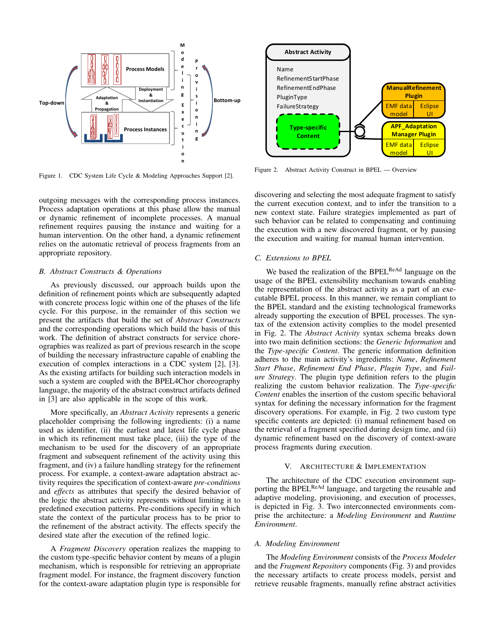

<span id="page-2-1"></span>Figure 1. CDC System Life Cycle & Modeling Approaches Support [\[2\]](#page-7-1).

outgoing messages with the corresponding process instances. Process adaptation operations at this phase allow the manual or dynamic refinement of incomplete processes. A manual refinement requires pausing the instance and waiting for a human intervention. On the other hand, a dynamic refinement relies on the automatic retrieval of process fragments from an appropriate repository.

#### *B. Abstract Constructs & Operations*

As previously discussed, our approach builds upon the definition of refinement points which are subsequently adapted with concrete process logic within one of the phases of the life cycle. For this purpose, in the remainder of this section we present the artifacts that build the set of *Abstract Constructs* and the corresponding operations which build the basis of this work. The definition of abstract constructs for service choreographies was realized as part of previous research in the scope of building the necessary infrastructure capable of enabling the execution of complex interactions in a CDC system [\[2\]](#page-7-1), [\[3\]](#page-7-2). As the existing artifacts for building such interaction models in such a system are coupled with the BPEL4Chor choreography language, the majority of the abstract construct artifacts defined in [\[3\]](#page-7-2) are also applicable in the scope of this work.

More specifically, an *Abstract Activity* represents a generic placeholder comprising the following ingredients: (i) a name used as identifier, (ii) the earliest and latest life cycle phase in which its refinement must take place, (iii) the type of the mechanism to be used for the discovery of an appropriate fragment and subsequent refinement of the activity using this fragment, and (iv) a failure handling strategy for the refinement process. For example, a context-aware adaptation abstract activity requires the specification of context-aware *pre-conditions* and *effects* as attributes that specify the desired behavior of the logic the abstract activity represents without limiting it to predefined execution patterns. Pre-conditions specify in which state the context of the particular process has to be prior to the refinement of the abstract activity. The effects specify the desired state after the execution of the refined logic.

A *Fragment Discovery* operation realizes the mapping to the custom type-specific behavior content by means of a plugin mechanism, which is responsible for retrieving an appropriate fragment model. For instance, the fragment discovery function for the context-aware adaptation plugin type is responsible for



<span id="page-2-2"></span>Figure 2. Abstract Activity Construct in BPEL — Overview

discovering and selecting the most adequate fragment to satisfy the current execution context, and to infer the transition to a new context state. Failure strategies implemented as part of such behavior can be related to compensating and continuing the execution with a new discovered fragment, or by pausing the execution and waiting for manual human intervention.

#### *C. Extensions to BPEL*

We based the realization of the BPEL<sup>ReAd</sup> language on the usage of the BPEL extensibility mechanism towards enabling the representation of the abstract activity as a part of an executable BPEL process. In this manner, we remain compliant to the BPEL standard and the existing technological frameworks already supporting the execution of BPEL processes. The syntax of the extension activity complies to the model presented in Fig. [2.](#page-2-2) The *Abstract Activity* syntax schema breaks down into two main definition sections: the *Generic Information* and the *Type-specific Content*. The generic information definition adheres to the main activity's ingredients: *Name*, *Refinement Start Phase*, *Refinement End Phase*, *Plugin Type*, and *Failure Strategy*. The plugin type definition refers to the plugin realizing the custom behavior realization. The *Type-specific Content* enables the insertion of the custom specific behavioral syntax for defining the necessary information for the fragment discovery operations. For example, in Fig. [2](#page-2-2) two custom type specific contents are depicted: (i) manual refinement based on the retrieval of a fragment specified during design time, and (ii) dynamic refinement based on the discovery of context-aware process fragments during execution.

#### V. ARCHITECTURE & IMPLEMENTATION

<span id="page-2-0"></span>The architecture of the CDC execution environment supporting the BPEL<sup>ReAd</sup> language, and targeting the reusable and adaptive modeling, provisioning, and execution of processes, is depicted in Fig. [3.](#page-3-0) Two interconnected environments comprise the architecture: a *Modeling Environment* and *Runtime Environment*.

#### *A. Modeling Environment*

The *Modeling Environment* consists of the *Process Modeler* and the *Fragment Repository* components (Fig. [3\)](#page-3-0) and provides the necessary artifacts to create process models, persist and retrieve reusable fragments, manually refine abstract activities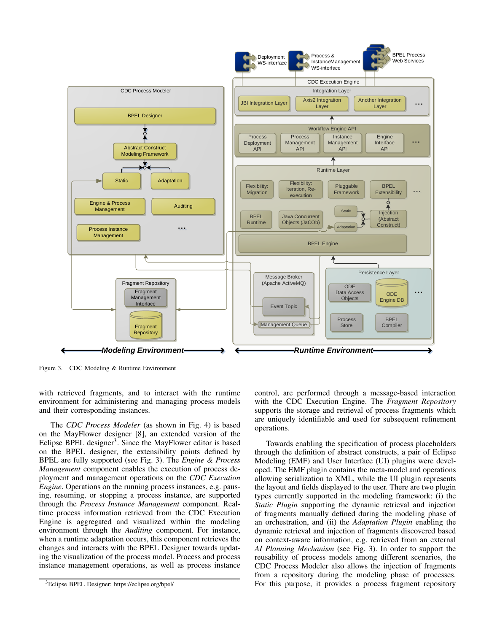

<span id="page-3-0"></span>Figure 3. CDC Modeling & Runtime Environment

with retrieved fragments, and to interact with the runtime environment for administering and managing process models and their corresponding instances.

The *CDC Process Modeler* (as shown in Fig. [4\)](#page-4-0) is based on the MayFlower designer [\[8\]](#page-7-7), an extended version of the Eclipse BPEL designer<sup>[3](#page-3-1)</sup>. Since the MayFlower editor is based on the BPEL designer, the extensibility points defined by BPEL are fully supported (see Fig. [3\)](#page-3-0). The *Engine & Process Management* component enables the execution of process deployment and management operations on the *CDC Execution Engine*. Operations on the running process instances, e.g. pausing, resuming, or stopping a process instance, are supported through the *Process Instance Management* component. Realtime process information retrieved from the CDC Execution Engine is aggregated and visualized within the modeling environment through the *Auditing* component. For instance, when a runtime adaptation occurs, this component retrieves the changes and interacts with the BPEL Designer towards updating the visualization of the process model. Process and process instance management operations, as well as process instance control, are performed through a message-based interaction with the CDC Execution Engine. The *Fragment Repository* supports the storage and retrieval of process fragments which are uniquely identifiable and used for subsequent refinement operations.

Towards enabling the specification of process placeholders through the definition of abstract constructs, a pair of Eclipse Modeling (EMF) and User Interface (UI) plugins were developed. The EMF plugin contains the meta-model and operations allowing serialization to XML, while the UI plugin represents the layout and fields displayed to the user. There are two plugin types currently supported in the modeling framework: (i) the *Static Plugin* supporting the dynamic retrieval and injection of fragments manually defined during the modeling phase of an orchestration, and (ii) the *Adaptation Plugin* enabling the dynamic retrieval and injection of fragments discovered based on context-aware information, e.g. retrieved from an external *AI Planning Mechanism* (see Fig. [3\)](#page-3-0). In order to support the reusability of process models among different scenarios, the CDC Process Modeler also allows the injection of fragments from a repository during the modeling phase of processes. For this purpose, it provides a process fragment repository

<span id="page-3-1"></span><sup>3</sup>Eclipse BPEL Designer:<https://eclipse.org/bpel/>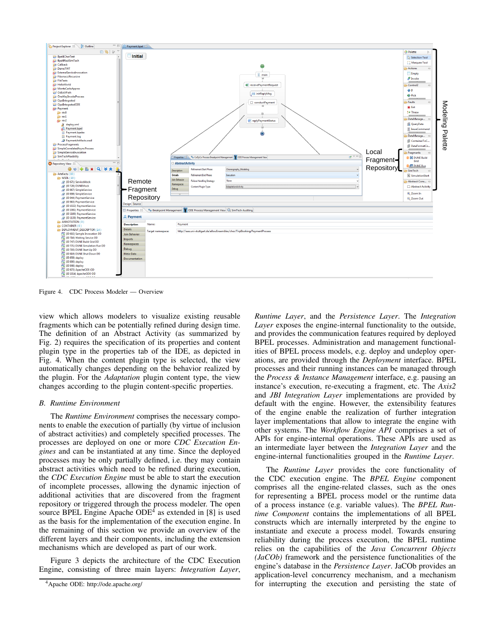

<span id="page-4-0"></span>Figure 4. CDC Process Modeler — Overview

view which allows modelers to visualize existing reusable fragments which can be potentially refined during design time. The definition of an Abstract Activity (as summarized by Fig. [2\)](#page-2-2) requires the specification of its properties and content plugin type in the properties tab of the IDE, as depicted in Fig. [4.](#page-4-0) When the content plugin type is selected, the view automatically changes depending on the behavior realized by the plugin. For the *Adaptation* plugin content type, the view changes according to the plugin content-specific properties.

### *B. Runtime Environment*

The *Runtime Environment* comprises the necessary components to enable the execution of partially (by virtue of inclusion of abstract activities) and completely specified processes. The processes are deployed on one or more *CDC Execution Engines* and can be instantiated at any time. Since the deployed processes may be only partially defined, i.e. they may contain abstract activities which need to be refined during execution, the *CDC Execution Engine* must be able to start the execution of incomplete processes, allowing the dynamic injection of additional activities that are discovered from the fragment repository or triggered through the process modeler. The open source BPEL Engine Apache  $ODE<sup>4</sup>$  $ODE<sup>4</sup>$  $ODE<sup>4</sup>$  as extended in [\[8\]](#page-7-7) is used as the basis for the implementation of the execution engine. In the remaining of this section we provide an overview of the different layers and their components, including the extension mechanisms which are developed as part of our work.

Figure [3](#page-3-0) depicts the architecture of the CDC Execution Engine, consisting of three main layers: *Integration Layer*,

*Runtime Layer*, and the *Persistence Layer*. The *Integration Layer* exposes the engine-internal functionality to the outside, and provides the communication features required by deployed BPEL processes. Administration and management functionalities of BPEL process models, e.g. deploy and undeploy operations, are provided through the *Deployment* interface. BPEL processes and their running instances can be managed through the *Process & Instance Management* interface, e.g. pausing an instance's execution, re-executing a fragment, etc. The *Axis2* and *JBI Integration Layer* implementations are provided by default with the engine. However, the extensibility features of the engine enable the realization of further integration layer implementations that allow to integrate the engine with other systems. The *Workflow Engine API* comprises a set of APIs for engine-internal operations. These APIs are used as an intermediate layer between the *Integration Layer* and the engine-internal functionalities grouped in the *Runtime Layer*.

The *Runtime Layer* provides the core functionality of the CDC execution engine. The *BPEL Engine* component comprises all the engine-related classes, such as the ones for representing a BPEL process model or the runtime data of a process instance (e.g. variable values). The *BPEL Runtime Component* contains the implementations of all BPEL constructs which are internally interpreted by the engine to instantiate and execute a process model. Towards ensuring reliability during the process execution, the BPEL runtime relies on the capabilities of the *Java Concurrent Objects (JaCOb)* framework and the persistence functionalities of the engine's database in the *Persistence Layer*. JaCOb provides an application-level concurrency mechanism, and a mechanism for interrupting the execution and persisting the state of

<span id="page-4-1"></span><sup>4</sup>Apache ODE:<http://ode.apache.org/>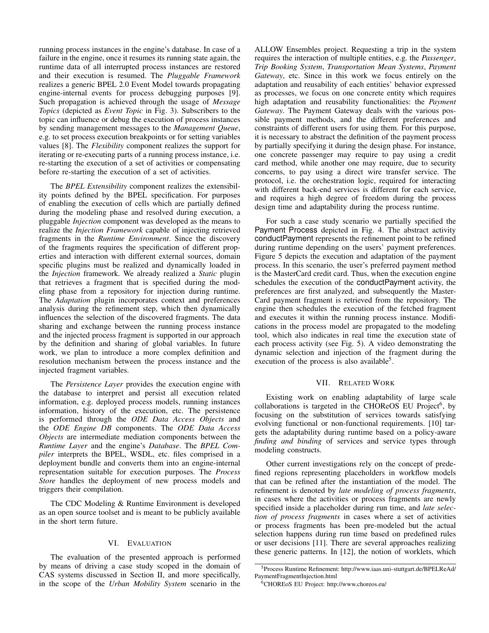running process instances in the engine's database. In case of a failure in the engine, once it resumes its running state again, the runtime data of all interrupted process instances are restored and their execution is resumed. The *Pluggable Framework* realizes a generic BPEL 2.0 Event Model towards propagating engine-internal events for process debugging purposes [\[9\]](#page-7-8). Such propagation is achieved through the usage of *Message Topics* (depicted as *Event Topic* in Fig. [3\)](#page-3-0). Subscribers to the topic can influence or debug the execution of process instances by sending management messages to the *Management Queue*, e.g. to set process execution breakpoints or for setting variables values [\[8\]](#page-7-7). The *Flexibility* component realizes the support for iterating or re-executing parts of a running process instance, i.e. re-starting the execution of a set of activities or compensating before re-starting the execution of a set of activities.

The *BPEL Extensibility* component realizes the extensibility points defined by the BPEL specification. For purposes of enabling the execution of cells which are partially defined during the modeling phase and resolved during execution, a pluggable *Injection* component was developed as the means to realize the *Injection Framework* capable of injecting retrieved fragments in the *Runtime Environment*. Since the discovery of the fragments requires the specification of different properties and interaction with different external sources, domain specific plugins must be realized and dynamically loaded in the *Injection* framework. We already realized a *Static* plugin that retrieves a fragment that is specified during the modeling phase from a repository for injection during runtime. The *Adaptation* plugin incorporates context and preferences analysis during the refinement step, which then dynamically influences the selection of the discovered fragments. The data sharing and exchange between the running process instance and the injected process fragment is supported in our approach by the definition and sharing of global variables. In future work, we plan to introduce a more complex definition and resolution mechanism between the process instance and the injected fragment variables.

The *Persistence Layer* provides the execution engine with the database to interpret and persist all execution related information, e.g. deployed process models, running instances information, history of the execution, etc. The persistence is performed through the *ODE Data Access Objects* and the *ODE Engine DB* components. The *ODE Data Access Objects* are intermediate mediation components between the *Runtime Layer* and the engine's *Database*. The *BPEL Compiler* interprets the BPEL, WSDL, etc. files comprised in a deployment bundle and converts them into an engine-internal representation suitable for execution purposes. The *Process Store* handles the deployment of new process models and triggers their compilation.

The CDC Modeling & Runtime Environment is developed as an open source toolset and is meant to be publicly available in the short term future.

#### VI. EVALUATION

<span id="page-5-0"></span>The evaluation of the presented approach is performed by means of driving a case study scoped in the domain of CAS systems discussed in Section [II,](#page-0-1) and more specifically, in the scope of the *Urban Mobility System* scenario in the ALLOW Ensembles project. Requesting a trip in the system requires the interaction of multiple entities, e.g. the *Passenger*, *Trip Booking System*, *Transportation Mean Systems*, *Payment Gateway*, etc. Since in this work we focus entirely on the adaptation and reusability of each entities' behavior expressed as processes, we focus on one concrete entity which requires high adaptation and reusability functionalities: the *Payment Gateway*. The Payment Gateway deals with the various possible payment methods, and the different preferences and constraints of different users for using them. For this purpose, it is necessary to abstract the definition of the payment process by partially specifying it during the design phase. For instance, one concrete passenger may require to pay using a credit card method, while another one may require, due to security concerns, to pay using a direct wire transfer service. The protocol, i.e. the orchestration logic, required for interacting with different back-end services is different for each service, and requires a high degree of freedom during the process design time and adaptability during the process runtime.

For such a case study scenario we partially specified the Payment Process depicted in Fig. [4.](#page-4-0) The abstract activity conductPayment represents the refinement point to be refined during runtime depending on the users' payment preferences. Figure [5](#page-6-1) depicts the execution and adaptation of the payment process. In this scenario, the user's preferred payment method is the MasterCard credit card. Thus, when the execution engine schedules the execution of the conductPayment activity, the preferences are first analyzed, and subsequently the Master-Card payment fragment is retrieved from the repository. The engine then schedules the execution of the fetched fragment and executes it within the running process instance. Modifications in the process model are propagated to the modeling tool, which also indicates in real time the execution state of each process activity (see Fig. [5\)](#page-6-1). A video demonstrating the dynamic selection and injection of the fragment during the execution of the process is also available<sup>[5](#page-5-2)</sup>.

### VII. RELATED WORK

<span id="page-5-1"></span>Existing work on enabling adaptability of large scale collaborations is targeted in the CHOReOS EU Project<sup>[6](#page-5-3)</sup>, by focusing on the substitution of services towards satisfying evolving functional or non-functional requirements. [\[10\]](#page-7-9) targets the adaptability during runtime based on a policy-aware *finding and binding* of services and service types through modeling constructs.

Other current investigations rely on the concept of predefined regions representing placeholders in workflow models that can be refined after the instantiation of the model. The refinement is denoted by *late modeling of process fragments*, in cases where the activities or process fragments are newly specified inside a placeholder during run time, and *late selection of process fragments* in cases where a set of activities or process fragments has been pre-modeled but the actual selection happens during run time based on predefined rules or user decisions [\[11\]](#page-7-10). There are several approaches realizing these generic patterns. In [\[12\]](#page-7-11), the notion of worklets, which

<span id="page-5-2"></span><sup>5</sup>Process Runtime Refinement: [http://www.iaas.uni-stuttgart.de/BPELReAd/](http://www.iaas.uni-stuttgart.de/BPELReAd/PaymentFragmentInjection.html) [PaymentFragmentInjection.html](http://www.iaas.uni-stuttgart.de/BPELReAd/PaymentFragmentInjection.html)

<span id="page-5-3"></span><sup>6</sup>CHOREoS EU Project:<http://www.choreos.eu/>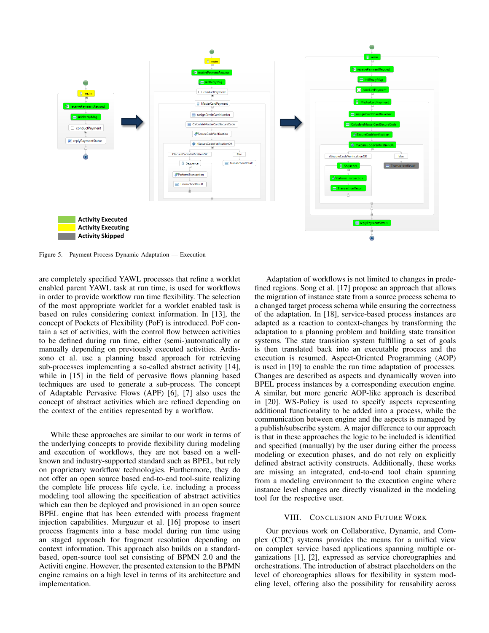

<span id="page-6-1"></span>Figure 5. Payment Process Dynamic Adaptation — Execution

are completely specified YAWL processes that refine a worklet enabled parent YAWL task at run time, is used for workflows in order to provide workflow run time flexibility. The selection of the most appropriate worklet for a worklet enabled task is based on rules considering context information. In [\[13\]](#page-7-12), the concept of Pockets of Flexibility (PoF) is introduced. PoF contain a set of activities, with the control flow between activities to be defined during run time, either (semi-)automatically or manually depending on previously executed activities. Ardissono et al. use a planning based approach for retrieving sub-processes implementing a so-called abstract activity [\[14\]](#page-7-13), while in [\[15\]](#page-7-14) in the field of pervasive flows planning based techniques are used to generate a sub-process. The concept of Adaptable Pervasive Flows (APF) [\[6\]](#page-7-5), [\[7\]](#page-7-6) also uses the concept of abstract activities which are refined depending on the context of the entities represented by a workflow.

While these approaches are similar to our work in terms of the underlying concepts to provide flexibility during modeling and execution of workflows, they are not based on a wellknown and industry-supported standard such as BPEL, but rely on proprietary workflow technologies. Furthermore, they do not offer an open source based end-to-end tool-suite realizing the complete life process life cycle, i.e. including a process modeling tool allowing the specification of abstract activities which can then be deployed and provisioned in an open source BPEL engine that has been extended with process fragment injection capabilities. Murguzur et al. [\[16\]](#page-7-15) propose to insert process fragments into a base model during run time using an staged approach for fragment resolution depending on context information. This approach also builds on a standardbased, open-source tool set consisting of BPMN 2.0 and the Activiti engine. However, the presented extension to the BPMN engine remains on a high level in terms of its architecture and implementation.

Adaptation of workflows is not limited to changes in predefined regions. Song et al. [\[17\]](#page-7-16) propose an approach that allows the migration of instance state from a source process schema to a changed target process schema while ensuring the correctness of the adaptation. In [\[18\]](#page-7-17), service-based process instances are adapted as a reaction to context-changes by transforming the adaptation to a planning problem and building state transition systems. The state transition system fulfilling a set of goals is then translated back into an executable process and the execution is resumed. Aspect-Oriented Programming (AOP) is used in [\[19\]](#page-7-18) to enable the run time adaptation of processes. Changes are described as aspects and dynamically woven into BPEL process instances by a corresponding execution engine. A similar, but more generic AOP-like approach is described in [\[20\]](#page-7-19). WS-Policy is used to specify aspects representing additional functionality to be added into a process, while the communication between engine and the aspects is managed by a publish/subscribe system. A major difference to our approach is that in these approaches the logic to be included is identified and specified (manually) by the user during either the process modeling or execution phases, and do not rely on explicitly defined abstract activity constructs. Additionally, these works are missing an integrated, end-to-end tool chain spanning from a modeling environment to the execution engine where instance level changes are directly visualized in the modeling tool for the respective user.

#### VIII. CONCLUSION AND FUTURE WORK

<span id="page-6-0"></span>Our previous work on Collaborative, Dynamic, and Complex (CDC) systems provides the means for a unified view on complex service based applications spanning multiple organizations [\[1\]](#page-7-0), [\[2\]](#page-7-1), expressed as service choreographies and orchestrations. The introduction of abstract placeholders on the level of choreographies allows for flexibility in system modeling level, offering also the possibility for reusability across